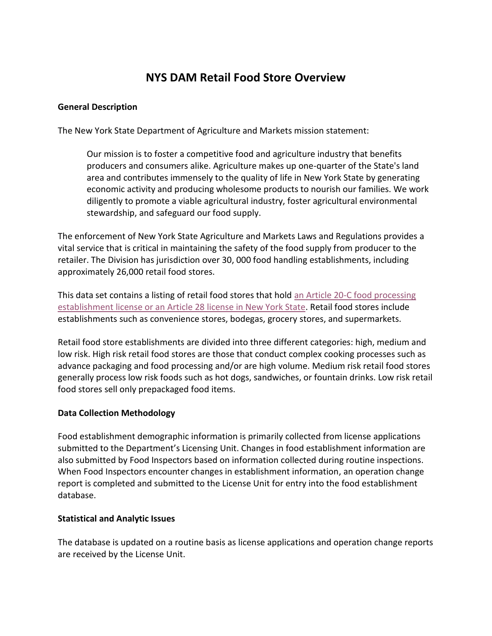# **NYS DAM Retail Food Store Overview**

#### **General Description**

The New York State Department of Agriculture and Markets mission statement:

Our mission is to foster a competitive food and agriculture industry that benefits producers and consumers alike. Agriculture makes up one-quarter of the State's land area and contributes immensely to the quality of life in New York State by generating economic activity and producing wholesome products to nourish our families. We work diligently to promote a viable agricultural industry, foster agricultural environmental stewardship, and safeguard our food supply.

The enforcement of New York State Agriculture and Markets Laws and Regulations provides a vital service that is critical in maintaining the safety of the food supply from producer to the retailer. The Division has jurisdiction over 30, 000 food handling establishments, including approximately 26,000 retail food stores.

This data set contains a listing of retail food stores that hold an [Article 20-C food processing](http://www.agriculture.ny.gov/FS/general/license.html)  establishment license or an Article 28 license [in New York State.](http://www.agriculture.ny.gov/FS/general/license.html) Retail food stores include establishments such as convenience stores, bodegas, grocery stores, and supermarkets.

Retail food store establishments are divided into three different categories: high, medium and low risk. High risk retail food stores are those that conduct complex cooking processes such as advance packaging and food processing and/or are high volume. Medium risk retail food stores generally process low risk foods such as hot dogs, sandwiches, or fountain drinks. Low risk retail food stores sell only prepackaged food items.

### **Data Collection Methodology**

Food establishment demographic information is primarily collected from license applications submitted to the Department's Licensing Unit. Changes in food establishment information are also submitted by Food Inspectors based on information collected during routine inspections. When Food Inspectors encounter changes in establishment information, an operation change report is completed and submitted to the License Unit for entry into the food establishment database.

#### **Statistical and Analytic Issues**

The database is updated on a routine basis as license applications and operation change reports are received by the License Unit.